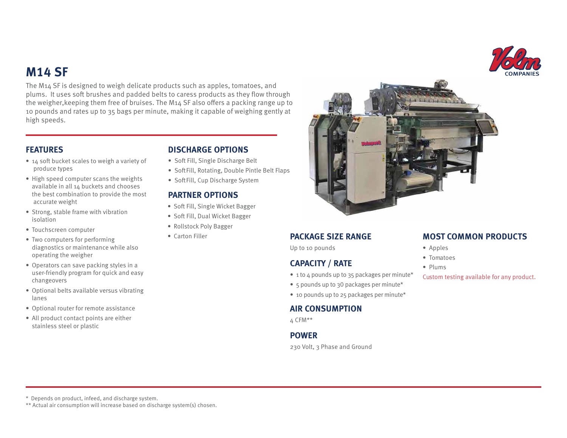# **M14 SF**

The M14 SF is designed to weigh delicate products such as apples, tomatoes, and plums. It uses soft brushes and padded belts to caress products as they flow through the weigher, keeping them free of bruises. The  $M_1 \Delta$  SF also offers a packing range up to 10 pounds and rates up to 35 bags per minute, making it capable of weighing gently at high speeds.

- $\bullet$  14 soft bucket scales to weigh a variety of produce types
- High speed computer scans the weights available in all 14 buckets and chooses the best combination to provide the most accurate weight
- Strong, stable frame with vibration isolation
- Touchscreen computer
- Two computers for performing diagnostics or maintenance while also operating the weigher
- Operators can save packing styles in a user-friendly program for quick and easy changeovers
- Optional belts available versus vibrating lanes
- Optional router for remote assistance
- All product contact points are either stainless steel or plastic

# **FEATURES DISCHARGE OPTIONS**

- Soft Fill, Single Discharge Belt
- Soft Fill, Rotating, Double Pintle Belt Flaps
- Soft Fill, Cup Discharge System

### **PARTNER OPTIONS**

- Soft Fill, Single Wicket Bagger
- Soft Fill, Dual Wicket Bagger
- Rollstock Poly Bagger
- Carton Filler



### **PACKAGE SIZE RANGE**

Up to 10 pounds

# **CAPACITY / RATE**

- 1 to 4 pounds up to 35 packages per minute\*
- 5 pounds up to 30 packages per minute\*
- 10 pounds up to 25 packages per minute\*

### **AIR CONSUMPTION**

4 CFM\*\*

### **POWER**

230 Volt, 3 Phase and Ground

# **MOST COMMON PRODUCTS**

- Apples
- Tomatoes
- Plums

Custom testing available for any product.

\* Depends on product, infeed, and discharge system.

\*\* Actual air consumption will increase based on discharge system(s) chosen.